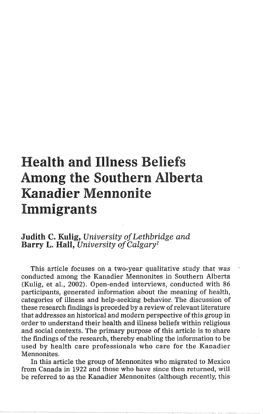# Health and Illness Beliefs Among the Southern Alberta Kanadier Mennonite Immigrants

# **Judith** C. **Kulig,** *University* of *Lethbridge and*  **Barry** L. **Hall,** *University* of *Calgary1*

This article focuses on a two-year qualitative study that was conducted among the Kanadier Mennonites in Southern Alberta (Kulig, et al., 2002). Open-ended interviews, conducted with 86 participants, generated information about the meaning of health, categories of illness and help-seeking behavior. The discussion of these research findings is preceded by a review of relevant literature that addresses an historical and modern perspective of this group in order to understand their health and illness beliefs within religious and social contexts. The primary purpose of this article is to share the findings of the research, thereby enabling the information to be used by health care professionals who care for the Kanadier Mennonites.

In this article the group of Mennonites who migrated to Mexico from Canada in 1922 and those who have since then returned, will be referred to as the Kanadier Mennonites (although recently, this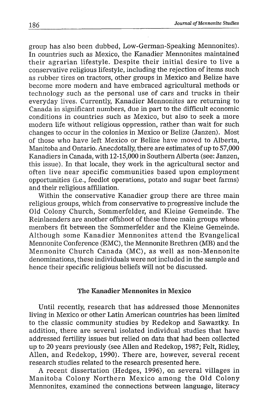group has also been dubbed, Low-German-Speaking Mennonites). In countries such as Mexico, the Kanadier Mennonites maintained their agrarian lifestyle. Despite their initial desire to live a conservative religious lifestyle, including the rejection of items such as rubber tires on tractors, other groups in Mexico and Belize have become more modern and have embraced agricultural methods or technology such as the personal use of cars and trucks in their everyday lives. Currently, Kanadier Mennonites are returning to Canada in significant numbers, due in part to the difficult economic conditions in countries such as Mexico, but also to seek a more modern life without religious oppression, rather than wait for such changes to occur in the colonies in Mexico or Belize (Janzen). Most of those who have left Mexico or Belize have moved to Alberta, Manitoba and Ontario. Anecdotally, there are estimates of up to 57,000 Kanadiers in Canada, with 12-15,000 in Southern Alberta (see: Janzen, this issue). In that locale, they work in the agricultural sector and often live near specific communities based upon employment opportunities (i.e., feedlot operations, potato and sugar beet farms) and their religious affiliation.

Within the conservative Kanadier group there are three main religious groups, which from conservative to progressive include the Old Colony Church, Sommerfelder, and Kleine Gemeinde. The Reinlaenders are another offshoot of these three main groups whose members fit between the Sommerfelder and the Kleine Gemeinde. Although some Kanadier Mennonites attend the Evangelical Mennonite Conference (EMC), the Mennonite Brethren (MB) and the Mennonite Church Canada (MC), as well as non-Mennonite denominations, these individuals were not included in the sample and hence their specific religious beliefs will not be discussed.

## **The Kanadier Mennonites** in **Mexico**

Until recently, research that has addressed those Mennonites living in Mexico or other Latin American countries has been limited to the classic community studies by Redekop and Sawaztky. In addition, there are several isolated individual studies that have addressed fertility issues but relied on data that had been collected up to 20 years previously (see Allen and Redekop, 1987; Felt, Ridley, Allen, and Redekop, 1990). There are, however, several recent research studies related to the research presented here.

A recent dissertation (Hedges, 1996), on several villages in Manitoba Colony Northern Mexico among the Old Colony Mennonites, examined the connections between language, literacy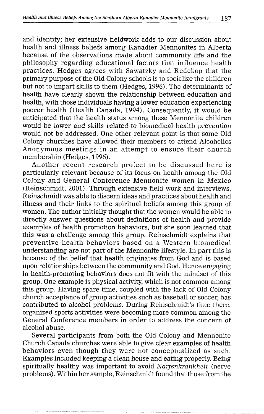and identity; her extensive fieldwork adds to our discussion about health and illness beliefs among Kanadier Mennonites in Alberta because of the observations made about community life and the philosophy regarding educational factors that influence health practices. Hedges agrees with Sawatzky and Redekop that the primary purpose of the Old Colony schools is to socialize the children but not to impart skills to them (Hedges, 1996). The determinants of health have clearly shown the relationship between education and health, with those individuals having a lower education experiencing poorer health (Health Canada, 1994). Consequently, it would be anticipated that the health status among these Mennonite children would be lower and skills related to biomedical health prevention would not be addressed. One other relevant point is that some Old Colony churches have allowed their members to attend Alcoholics Anonymous meetings in an attempt to ensure their church membership (Hedges, 1996).

Another recent research project to be discussed here is particularly relevant because of its focus on health among the Old Colony and General Conference Mennonite women in Mexico (Reinschmidt, 2001). Through extensive field work and interviews, Reinschmidt was able to discern ideas and practices about health and illness and their links to the spiritual beliefs among this group of women. The author initially thought that the women would be able to directly answer questions about definitions of health and provide examples of health promotion behaviors, but she soon learned that this was a challenge among this group. Reinschmidt explains that preventive health behaviors based on a Western biomedical understanding are not part of the Mennonite lifestyle. In part this is because of the belief that health originates from God and is based upon relationships between the community and God. Hence engaging in health-promoting behaviors does not fit with the mindset of this group. One example is physical activity, which is not common among this group. Having spare time, coupled with the lack of Old Colony church acceptance of group activities such as baseball or soccer, has contributed to alcohol problems. During Reinschmidt's time there, organized sports activities were becoming more common among the General Conference members in order to address the concern of alcohol abuse.

Several participants from both the Old Colony and Mennonite Church Canada churches were able to give clear examples of health behaviors even though they were not conceptualized as such. Examples included keeping a clean house and eating properly Being spiritually healthy was important to avoid *Narfenkrankheit* (nerve problems). Within her sample, Reinschmidt found that those from the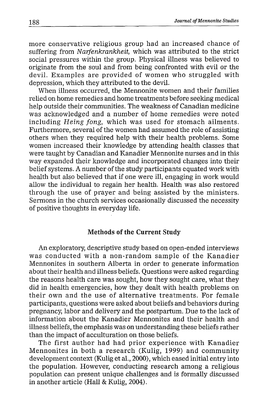more conservative religious group had an increased chance of suffering from Narfenkrankheit, which was attributed to the strict social pressures within the group. Physical illness was believed to originate from the soul and from being confronted with evil or the devil. Examples are provided of women who struggled with depression, which they attributed to the devil.

When illness occurred, the Mennonite women and their families relied on home remedies and home treatments before seeking medical help outside their communities. The weakness of Canadian medicine was acknowledged and a number of home remedies were noted including Heing fong, which was used for stomach ailments. Furthermore, several of the women had assumed the role of assisting others when they required help with their health problems. Some women increased their knowledge by attending health classes that were taught by Canadian and Kanadier Mennonite nurses and in this way expanded their knowledge and incorporated changes into their belief systerns. A number of the study participants equated work with health but also believed that if one were ill, engaging in work would allow the individual to regain her health. Health was also restored through the use of prayer and being assisted by the ministers. Sermons in the church services occasionally discussed the necessity of positive thoughts in everyday life.

#### **Methods of the Current Study**

An exploratory, descriptive study based on open-ended interviews was conducted with a non-random sample of the Kanadier Mennonites in southern Alberta in order to generate information about their health and illness beliefs. Questions were asked regarding the reasons health care was sought, how they sought care, what they did in health emergencies, how they dealt with health problems on their own and the use of alternative treatments. For female participants, questions were asked about beliefs and behaviors during pregnancy, labor and delivery and the postpartum. Due to the lack of information about the Kanadier Mennonites and their health and illness beliefs, the emphasis was on understanding these beliefs rather than the impact of acculturation on those beliefs.

The first author had had prior experience with Kanadier Mennonites in both a research (Kulig, 1999) and community development context (Kulig et al., 2000), which eased initial entry into the population. However, conducting research among a religious population can present unique challenges and is formally discussed in another article (Hall **82** Kulig, 2004).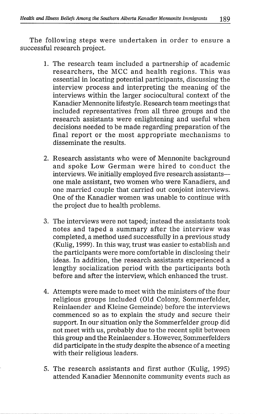The following steps were undertaken in order to ensure a successful research project.

- 1. The research team included a partnership of academic researchers, the MCC and health regions. This was essential in locating potential participants, discussing the interview process and interpreting the meaning of the interviews within the larger sociocultural context of the Kanadier Mennonite lifestyle. Research team meetings that included representatives from all three groups and the research assistants were enlightening and useful when decisions needed to be made regarding preparation of the final report or the most appropriate mechanisms to disseminate the results.
- 2. Research assistants who were of Mennonite background and spoke Low German were hired to conduct the interviews. We initially employed five research assistantsone male assistant, two women who were Kanadiers, and one married couple that carried out conjoint interviews. One of the Kanadier women was unable to continue with the project due to health problems.
- **3.** The interviews were not taped; instead the assistants took notes and taped a summary after the interview was completed, a method used successfully in a previous study (Kulig, 1999). In this way, trust was easier to establish and the participants were more comfortable in disclosing their ideas. In addition, the research assistants experienced a lengthy socialization period with the participants both before and after the interview, which enhanced the trust.
- 4. Attempts were made to meet with the ministers of the four religious groups included (Old Colony, Sommerfelder, Reinlaender and Kleine Gemeinde) before the interviews commenced so as to explain the study and secure their support. In our situation only the Sommerfelder group did not meet with us, probably due to the recent split between this group and the Reinlaender s. However, Sommerfelders did participate in the study despite the absence of a meeting with their religious leaders.
- *5.* The research assistants and first author (Kulig, 1995) attended Kanadier Mennonite community events such as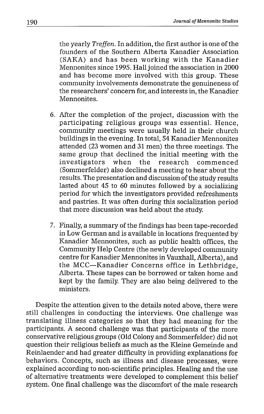the yearly Treffen. In addition, the first author is one of the founders of the Southern Alberta Kanadier Association (SAKA) and has been working with the Kanadier Mennonites since 1995. Hall joined the association in 2000 and has become more involved with this group. These community involvements demonstrate the genuineness of the researchers' concern for, and interests in, the Kanadier Mennonites.

- 6. After the completion of the project, discussion with the participating religious groups was essential. Hence, community meetings were usually held in their church buildings in the evening. In total, 54 Kanadier Mennonites attended (23 women and 31 men) the three meetings. The same group that declined the initial meeting with the investigators when the research commenced (Sommerfelder) also declined a meeting to hear about the results. The presentation and discussion of the study results lasted about 45 to 60 minutes followed by a socializing period for which the investigators provided refreshments and pastries. It was often during this socialization period that more discussion was held about the study.
- 7. Finally, a summary of the findings has been tape-recorded in Low German and is available in locations frequented by Kanadier Mennonites, such as public health offices, the Community Help Centre (the newly developed community centre for Kanadier Mennonites in Vauxhall, Alberta), and the MCC-Kanadier Concerns office in Lethbridge, Alberta. These tapes can be borrowed or taken home and kept by the family. They are also being delivered to the ministers.

Despite the attention given to the details noted above, there were still challenges in conducting the interviews. One challenge was translating illness categories so that they had meaning for the participants. A second challenge was that participants of the more conservative religious groups (Old Colony and Sommerfelder) did not question their religious beliefs as much as the Kleine Gemeinde and Reinlaender and had greater difficulty in providing explanations for behaviors. Concepts, such as illness and disease processes, were explained according to non-scientific principles. Healing and the use of alternative treatments were developed to complement this belief system. One final challenge was the discomfort of the male research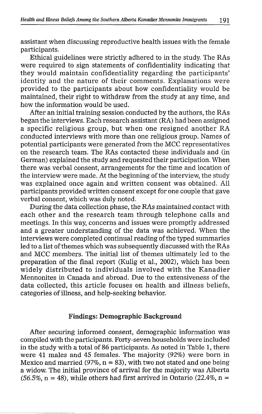assistant when discussing reproductive health issues with the female participants.

Ethical guidelines were strictly adhered to in the study. The RAs were required to sign statements of confidentiality indicating that they would maintain confidentiality regarding the participants' identity and the nature of their comments. Explanations were provided to the participants about how confidentiality would be maintained, their right to withdraw from the study at any time, and how the information would be used.

After an initial training session conducted by the authors, the RAs began the interviews. Each research assistant (RA) had been assigned a specific religious group, but when one resigned another RA conducted interviews with more than one religious group. Names of potential participants were generated from the MCC representatives on the research team. The RAs contacted these individuals and (in German) explained the study and requested their participation. When there was verbal consent, arrangements for the time and location of the interview were made. At the beginning of the interview, the study was explained once again and written consent was obtained. All participants provided written consent except for one couple that gave verbal consent, which was duly noted.

During the data collection phase, the RAs maintained contact with each other and the research team through telephone calls and meetings. In this way, concerns and issues were promptly addressed and a greater understanding of the data was achieved. When the interviews were completed continual reading of the typed summaries led to a list of themes which was subsequently discussed with the RAs and MCC members. The initial list of themes ultimately led to the preparation of the final report (Kulig et al., 2002), which has been widely distributed to individuals involved with the Kanadier Mennonites in Canada and abroad. Due to the extensiveness of the data collected, this article focuses on health and illness beliefs, categories of illness, and help-seeking behavior.

#### **Findings: Demographic Background**

After securing informed consent, demographic information was compiled with the participants. Forty-seven households were included in the study with a total of 86 participants. As noted in Table 1, there were 41 males and 45 females. The majority (92%) were born in Mexico and married (97%,  $n = 83$ ), with two not stated and one being a widow. The initial province of arrival for the majority was Alberta  $(56.5\%, n = 48)$ , while others had first arrived in Ontario (22.4%, n =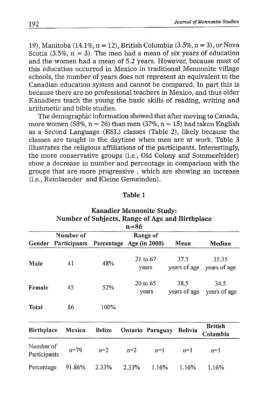19), Manitoba (14.1%,  $n = 12$ ), British Columbia (3.5%,  $n = 3$ ), or Nova Scotia  $(3.5\%, n = 3)$ . The men had a mean of six years of education and the women had a mean of 5.2 years. However, because most of this education occurred in Mexico in traditional Mennonite village schools, the number of years does not represent an equivalent to the Canadian education system and cannot be compared. In part this is because there are no professional teachers in Mexico, and thus older Kanadiers teach the young the basic skills of reading, writing and arithmetic and bible studies.

The demographic information showed that after moving to Canada, more women (58%,  $n = 26$ ) than men (37%,  $n = 15$ ) had taken English as a Second Language (ESL) classes (Table **:2),** likely because the classes are taught in the daytime when men are at work. Table 3 illustrates the religious affiliations of the participants. Interestingly, the more conservative groups (i.e., Old Colony and Sommerfelder) show a decrease in number and percentage in comparison with the groups that are more progressive , which are showing an increase (i.e., Reinlaender and Kleine Gemeinden).

| anı<br> |  |
|---------|--|
|---------|--|

| <b>Kanadier Mennonite Study:</b>                            |              |                          |                  |                       |                      |                            |  |
|-------------------------------------------------------------|--------------|--------------------------|------------------|-----------------------|----------------------|----------------------------|--|
| Number of Subjects, Range of Age and Birthplace<br>$n = 86$ |              |                          |                  |                       |                      |                            |  |
| Number of<br>Range of                                       |              |                          |                  |                       |                      |                            |  |
| Gender                                                      | Participants | Percentage Age (in 2000) |                  |                       | Mean                 | Median                     |  |
| Male                                                        | 41           | 48%                      |                  | $21$ to $67$<br>years | 37.5<br>years of age | 35.35<br>years of age      |  |
| Female                                                      | 45           | 52%                      |                  | 20 to 65<br>years     | 38.5<br>years of age | 34.5<br>years of age       |  |
| <b>Total</b>                                                | 86           | 100%                     |                  |                       |                      |                            |  |
| <b>Birthplace</b>                                           | Mexico       | <b>Belize</b>            | Ontario Paraguay |                       | <b>Bolivia</b>       | <b>British</b><br>Columbia |  |
| Number of<br>Participants                                   | $n = 79$     | $n=2$                    | $n=2$            | $n=1$                 | $n=1$                | $n=1$                      |  |
| Percentage                                                  | 91.86%       | 2.33%                    | 2.33%            | 1.16%                 | 1.16%                | 1.16%                      |  |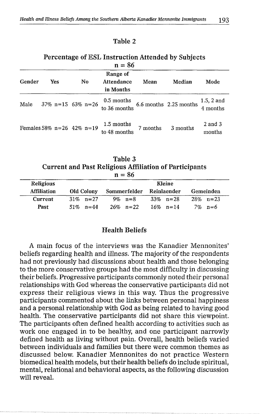#### Table **2**

# Percentage of ESL Instruction Attended by Subjects

| $n = 86$ |                               |    |                                     |          |                        |                          |
|----------|-------------------------------|----|-------------------------------------|----------|------------------------|--------------------------|
| Gender   | Yes                           | No | Range of<br>Attendance<br>in Months | Mean     | Median                 | Mode                     |
| Male     | $37\%$ n=15 63% n=26          |    | 0.5 months<br>to 36 months          |          | 6.6 months 2.25 months | $1.5, 2$ and<br>4 months |
|          | Females 58% $n=26$ 42% $n=19$ |    | 1.5 months<br>to 48 months          | 7 months | 3 months               | $2$ and $3$<br>months    |

Table **3**  Current and Past Religious Affiliation of Participants  $n = 86$ 

| Religious          |             | Kleine                   |             |             |  |
|--------------------|-------------|--------------------------|-------------|-------------|--|
| <b>Affiliation</b> | Old Colony  | Sommerfelder Reinlaender |             | Gemeinden   |  |
| <b>Current</b>     | $31\%$ n=27 | 9% $n = 8$               | $33\%$ n=28 | $28\%$ n=23 |  |
| Past               | 51\% n=44   | $26\%$ n=22              | $16\%$ n=14 | $7\%$ n=6   |  |

# Health Beliefs

A main focus of the interviews was the Kanadier Mennonites' beliefs regarding health and illness. The majority of the respondents had not previously hacl discussions about health and those belonging to the more conservative groups had the most difficulty in discussing their beliefs. Progressive participants commonly noted their personal relationships with God whereas the conservative participants did not express their religious views in this way. Thus the progressive participants commented about the links between personal happiness and a personal relationship with God as being related to having good health. The conservative participants did not share this viewpoint. The participants often defined health according to activities such as work one engaged in to be healthy, and one participant narrowly defined health as living without pain. Overall, health beliefs varied between individuals and families but there were common themes as discussed below. Kanadier Mennonites do not practice Western biomedical health models, but their health beliefs do include spiritual, mental, relational and behavioral aspects, as the following discussion will reveal.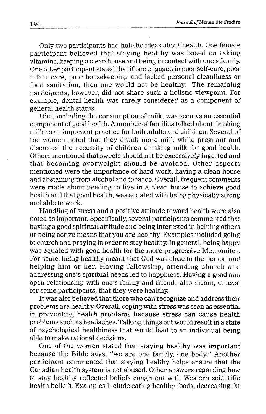Only two participants had holistic ideas about health. One female participant believed that staying healthy was based on taking vitamins, keeping a clean house and being in contact with one's family. One other participant stated that if one engaged in poor self-care, poor infant care, poor housekeeping and lacked personal cleanliness or food sanitation, then one would not be healthy. The remaining participants, however, did not share such a holistic viewpoint. For example, dental health was rarely considered as a component of general health status.

Diet, including the consumption of milk, was seen as an essential component of good health. A number of families talked about drinking milk as an important practice for both adults and children. Several of the women noted that they drank more milk while pregnant and discussed the necessity of children drinking milk for good health. Others mentioned that sweets should not be excessively ingested and that becoming overweight should be avoided. Other aspects mentioned were the importance of hard work, having a clean house and abstaining from alcohol and tobacco. Overall, frequent comments were made about needing to live in a clean house to achieve good health and that good health, was equated with being physically strong and able to work.

Handling of stress and a positive attitude toward health were also noted as important. Specifically, several participants commented that having a good spiritual attitude and being interested in helping others or being active means that you are healthy. Examples included going to church and praying in order to stay healthy. In general, being happy was equated with good health for the more progressive Mennonites. For some, being healthy meant that God was close to the person and helping him or her. Having fellowship, attending church and addressing one's spiritual needs led to happiness. Having a good and open relationship with one's family and friends also meant, at least for some participants, that they were healthy.

It was also believed that those who can recognize and address their problems are healthy. Overall, coping with stress was seen as essential in preventing health problems because stress can cause health problems such as headaches. Talking things out would result in a state of psychological healthiness that would lead to an individual being able to make rational decisions.

One of the women stated that staying healthy was important because the Bible says, "we are one family, one body." Another participant commented that staying healthy helps ensure that the Canadian health system is not abused. Other answers regarding how to stay healthy reflected beliefs congruent with Western scientific health beliefs. Examples include eating healthy foods, decreasing fat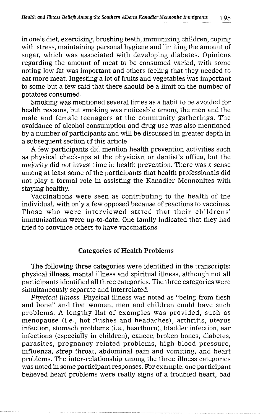in one's diet, exercising, brushing teeth, immunizing children, coping with stress, maintaining personal hygiene and limiting the amount of sugar, which was associated with developing diabetes. Opinions regarding the amount of meat to be consumed varied, with some noting low fat was important and others feeling that they needed to eat more meat. Ingesting a lot of fruits and vegetables was important to some but a few said that there should be a limit on the number of potatoes consumed.

Smoking was mentioned several times as a habit to be avoided for health reasons, but smoking was noticeable among the men and the male and female teenagers at the community gatherings. The avoidance of alcohol consumption and drug use was also mentioned by a number of participants and will be discussed in greater depth in a subsequent section of this article.

**A** few participants did mention health prevention activities such as physical check-ups at the physician or dentist's office, but the majority did not invest time in health prevention. There was a sense among at least some of the participants that health professionals did not play a formal role in assisting the Kanadier Mennonites with staying healthy.

Vaccinations were seen as contributing to the health of the individual, with only a few opposed because of reactions to vaccines. Those who were interviewed stated that their childrens' immunizations were up-to-date. One family indicated that they had tried to convince others to have vaccinations.

#### **Categories of NeaIth ProbIems**

The following three categories were identified in the transcripts: physical illness, mental illness and spiritual illness, although not all participants identified all three categories. The three categories were simultaneously separate and interrelated.

*Physical illness. Physical illness was noted as "being from flesh* and bone" and that women, men and children could have such problems. A lengthy list of examples was provided, such as menopause (i.e., hot flushes and headaches), arthritis, uterus infection, stomach problems (i.e., heartburn), bladder infection, ear infections (especially in children), cancer, broken bones, diabetes, parasites, pregnancy-related problems, high blood pressure, influenza, strep throat, abdominal pain and vomiting, and heart problems. The inter-relationship among the three illness categories was noted in some participant responses. For example, one participant believed heart problems were really signs of a troubled heart, bad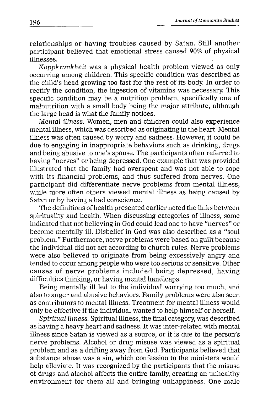relationships or having troubles caused by Satan. Still another participant believed that emotional stress caused 90% of physical illnesses.

*Koppkrankheit* was a physical health problem viewed as only occurring among children. This specific condition was described as the child's head growing too fast for the rest of its body. In order to rectify the condition, the ingestion of vitamins was necessary. This specific condition may be a nutrition problem, specifically one of malnutrition with a small body being the major attribute, although the large head is what the family notices.

*Mental illness.* Women, men and children could also experience mental illness, which was described as originating in the heart. Mental illness was often caused by worry and sadness. However, it could be due to engaging in inappropriate behaviors such as drinking, drugs and being abusive to one's spouse. The participants often referred to having "nerves" or being depressed. One example that was provided illustrated that the family had overspent and was not able to cope with its financial problems, and thus suffered from nerves. One participant did differentiate nerve problems from mental illness, while more often others viewed mental illness as being caused by Satan or by having a bad conscience.

The definitions of health presented earlier noted the links between spirituality and health. When discussing categories of illness, some indicated that not believing in God could lead one to have "nerves" or become mentally ill. Disbelief in God was also described as a "soul problem." Furthermore, nerve problems were based on guilt because the individual did not act according to church rules. Nerve problems were also believed to originate from being excessively angry and tended to occur among people who were too serious or sensitive. Other causes of nerve problems included being depressed, having difficulties thinking, or having mental handicaps.

Being mentally ill led to the individual worrying too much, and also to anger and abusive behaviors. Family problems were also seen as contributors to mental illness. Treatment for mental illness would only be effective if the individual wanted to help himself or herself.

*Spiritual illness.* Spiritual illness, the final category, was described as having a heavy heart and sadness. It was inter-related with mental illness since Satan is viewed as a source, or it is due to the person's nerve problems. Alcohol or drug misuse was viewed as a spiritual problem and as a drifting away from God. Participants believed that substance abuse was a sin, which confession to the ministers would help alleviate. It was recognized by the participants that the misuse of drugs and alcohol affects the entire family, creating an unhealthy environment for them all and bringing unhappiness. One male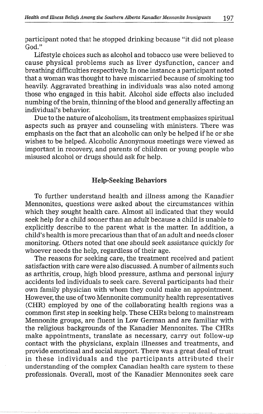participant noted that he stopped drinking because "it did not please God."

Lifestyle choices such as alcohol and tobacco use were believed to cause physical problems such as liver dysfunction, cancer and breathing difficulties respectively. In one instance a participant noted that a woman was thought to have miscarried because of smoking too heavily. Aggravated breathing in individuals was also noted among those who engaged in this habit. Alcohol side effects also included numbing of the brain, thinning of the blood and generally affecting an individual's behavior.

Due to the nature of alcoholism, its treatment emphasizes spiritual aspects such as prayer and counseling with ministers. There was emphasis on the fact that an alcoholic can only be helped if he or she wishes to be helped. Alcoholic Anonymous meetings were viewed as important in recovery, and parents of children or young people who misused alcohol or drugs should ask for help.

#### **Help-Seeking Behaviors**

To further understand health and illness among the Kanadier Mennonites, questions were asked about the circumstances within which they sought health care. Almost all indicated that they would seek help for a child sooner than an adult because a child is unable to explicitly describe to the parent what is the matter. In addition, a child's health is more precarious than that of an adult and needs closer monitoring. Others noted that one should seek assistance quickly for whoever needs the help, regardless of their age.

The reasons for seeking care, the treatment received and patient satisfaction with care were also discussed. A number of ailments such as arthritis, croup, high blood pressure, asthma and personal injury accidents led individuals to seek care. Several participants had their own family physician with whom they could make an appointment. However, the use of two Mennonite community health representatives (CHR) employed by one of the collaborating health regions was a common first step in seeking help. These CHRs belong to mainstream Mennonite groups, are fluent in Low German and are familiar with the religious backgrounds of the Kanadier Mennonites. The CHRs make appointments, translate as necessary, carry out follow-up contact with the physicians, explain illnesses and treatments, and provide emotional and social support. There was a great deal of trust in these individuals and the participants attributed their understanding of the complex Canadian health care system to these professionals. Overall, most of the Kanadier Mennonites seek care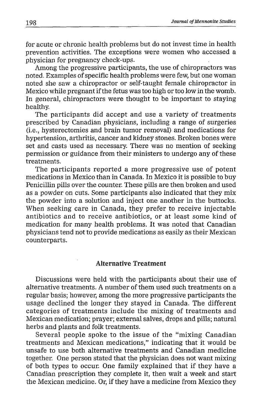for acute or chronic health problems but do not invest time in health prevention activities. The exceptions were women who accessed a physician for pregnancy check-ups.

Among the progressive participants, the use of chiropractors was noted. Examples of specific health problems were few, but one woman noted she saw a chiropractor or self-taught female chiropractor in Mexico while pregnant if the fetus was too high or too low in the womb. In general, chiropractors were thought to be important to staying healthy.

The participants did accept and use a variety of treatments prescribed by Canadian physicians, including a range of surgeries (i.e., hysterectomies and brain tumor removal) and medications for hypertension, arthritis, cancer and kidney stones. Broken bones were set and casts used as necessary. There was no mention of seeking permission or guidance from their ministers to undergo any of these treatments.

The participants reported a more progressive use of potent medications in Mexico than in Canada. In Mexico it is possible to buy Penicillin pills over the counter. These pills are then broken and used as a powder on cuts. Some participants also indicated that they mix the powder into a solution and inject one another in the buttocks. When seeking care in Canada, they prefer to receive injectable antibiotics and to receive antibiotics, or at least some kind of medication for many health problems. It was noted that Canadian physicians tend not to provide medications as easily as their Mexican counterparts.

### **Alternative Treatment**

Discussions were held with the participants about their use of alternative treatments. A number of them used such treatments on a regular basis; however, among the more progressive participants the usage declined the longer they stayed in Canada. The different categories of treatments include the mixing of treatments and Mexican medication; prayer; external salves, drops and pills; natural herbs and plants and folk treatments.

Several people spoke to the issue of the "mixing Canadian treatments and Mexican medications," indicating that it would be unsafe to use both alternative treatments and Canadian medicine together. One person stated that the physician does not want mixing of both types to occur. One family explained that if they have a Canadian prescription they complete it, then wait a week and start the Mexican medicine. Or, if they have a medicine from Mexico they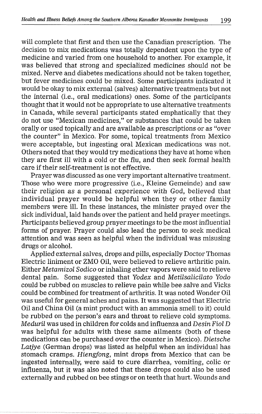will complete that first and then use the Canadian prescription. The decision to mix medications was totally dependent upon the type of medicine and varied from one household to another. For example, it was believed that strong and specialized medicines should not be mixed. Nerve and diabetes medications should not be taken together, but fever medicines could be mixed. Some participants indicated it would be okay to mix external (salves) alternative treatments but not the internal (i.e., oral medications) ones. Some of the participants thought that it would not be appropriate to use alternative treatments in Canada, while several participants stated emphatically that they do not use "Mexican medicines," or substances that could be taken orally or used topically and are available as prescriptions or as "over the counter" in Mexico. For some, topical treatments from Mexico were acceptable, but ingesting oral Mexican medications was not. Others noted that they would try medications they have at home when they are first ill with a cold or the flu, and then seek formal health care if their self-treatment is not effective.

Prayer was discussed as one very important alternative treatment. Those who were more progressive (i.e., Kleine Gemeinde) and saw their religion as a personal experience with God, believed that individual prayer would be helpful when they or other family members were ill. In these instances, the minister prayed over the sick individual, laid hands over the patient and held prayer meetings. Participants believed group prayer meetings to be the most influential forms of prayer. Prayer could also lead the person to seek medical attention and was seen as helpful when the individual was misusing drugs or alcohol.

Applied external salves, drops and pills, especially Doctor Thomas Electric liniment or ZMO Oil, were believed to relieve arthritic pain. Either *Metamizol Sodico* or inhaling ether vapors were said to relieve dental pain. Some suggested that *Yodex* and *Metilsalicilato Yodo* could be rubbed on muscles to relieve pain while bee salve and Viclrs could be combined for treatment of arthritis. It was noted Wonder Oil was useful for general aches and pains. It was suggested that Electric Oil and China Oil (a mint product with an ammonia smell to it) could be rubbed on the person's ears and throat to relieve cold symptoms. *Meduril* was used in children for colds and influenza and *Desin Fiol D*  was helpful for adults with these same ailments (both of these medications can be purchased over the counter in Mexico). *Dietsche Latjye* (German drops) was listed as helpful when an individual has stomach cramps. *Hiengfong*, mint drops from Mexico that can be ingested internally, were said to cure diarrhea, vomiting, colic or influenza, but it was also noted that these drops could also be used externally and rubbed on bee stings or on teeth that hurt. Wounds and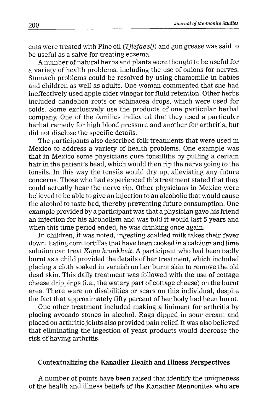cuts were treated with Pine oil **(Tjiefaeelj)** and gun grease was said to be useful as a salve for treating eczema.

A number of natural herbs and plants were thought to be useful for a variety of health problems, including the use of onions for nerves. Stomach problems could be resolved by using chamomile in babies and children as well as adults. One woman commented that she had ineffectively used apple cider vinegar for fluid retention. Other herbs included dandelion roots or echinacea drops, which were used for colds. Some exclusively use the products of one particular herbal company. One of the families indicated that they used a particular herbal remedy for high blood pressure and another for arthritis, but did not disclose the specific details.

The participants also described folk treatments that were used in Mexico to address a variety of health problems. One example was that in Mexico some physicians cure tonsillitis by pulling a certain hair in the patient's head, which would then rip the nerve going to the tonsils. In this way the tonsils would dry up, alleviating any future concerns. Those who had experienced this treatment stated that they could actually hear the nerve rip. Other physicians in Mexico were believed to be able to give an injection to an alcoholic that would cause the alcohol to taste bad, thereby preventing future consumption. One example provided by a participant was that a physician gave his friend an injection for his alcoholism and was told it would last 5 years and when this time period ended, he was drinking once again.

In children, it was noted, ingesting scalded milk takes their fever down. Eating corn tortillas that have been cooked in a calcium and lime solution can treat Kopp krankheit. A participant who had been badly burnt as a child provided the details of her treatment, which included placing a cloth soaked in varnish on her burnt skin to remove the old dead skin. This daily treatment was followed with the use of cottage cheese drippings (i.e., the watery part of cottage cheese) on the burnt area. There were no disabilities or scars on this individual, despite the fact that approximately fifty percent of her body had been burnt.

One other treatment included making a liniment for arthritis by placing avocado stones in alcohol. Rags dipped in sour cream and placed on arthritic joints also provided pain relief. It was also believed that eliminating the ingestion of yeast products would decrease the risk of having arthritis.

# **Contextualizing the Kanadier Health and Illness Perspectives**

A number of points have been raised that identify the uniqueness of the health and illness beliefs of the Kanadier Mennonites who are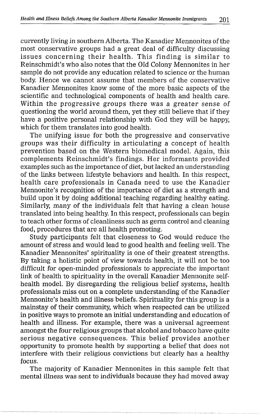currently living in southern Alberta. The Kanadier Mennonites of the most conservative groups had a great deal of difficulty discussing issues concerning their health. This finding is similar to Reinschmidt's who also notes that the Old Colony Mennonites in her sample do not provide any education related to science or the human body. Hence we cannot assume that members of the conservative Kanadier Mennonites know some of the more basic aspects of the scientific and technological components of health and health care. Within the progressive groups there was a greater sense of questioning the world around them, yet they still believe that if they have a positive personal relationship with God they will be happy, which for them translates into good health.

The unifying issue for both the progressive and conservative groups was their difficulty in articulating a concept of health prevention based on the Western biomedical model. Again, this complements Reinschmidt's findings. Her informants provided examples such as the importance of diet, but lacked an understanding of the links between lifestyle behaviors and health. In this respect, health care professionals in Canada need to use the Kanadier Mennonite's recognition of the importance of diet as a strength and build upon it by doing additional teaching regarding healthy eating. Similarly, many of the individuals felt that having a clean house translated into being healthy. In this respect, professionals can begin to teach other forms of cleanliness such as germ control and cleaning food, procedures that are all health promoting.

Study participants felt that closeness to God would reduce the amount of stress and would lead to good health and feeling well. The Kanadier Mennonites' spirituality is one of their greatest strengths. By taking a holistic point of view towards health, it will not be too difficult for open-minded professionals to appreciate the important link of health to spirituality in the overall Kanadier Mennonite selfhealth model. By disregarding the religious belief systems, health professionals miss out on a complete understanding of the Kanadier Mennonite's health and illness beliefs. Spirituality for this group is a mainstay of their community, which when respected can be utilized in positive ways to promote an initial understanding and education of health and illness. For example, there was a universal agreement amongst the four religious groups that alcohol and tobacco have quite serious negative consequences. This belief provides another opportunity to promote health by supporting a belief that does not interfere with their religious convictions but clearly has a healthy focus.

The majority of Kanadier Mennonites in this sample felt that mental illness was sent to individuals because they had moved away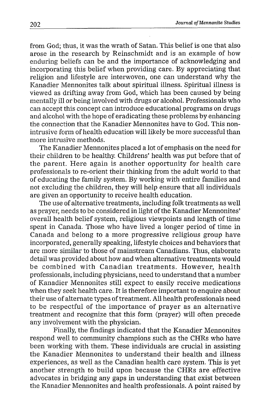from God; thus, it was the wrath of Satan. This belief is one that also arose in the research by Reinschmidt and is an example of how enduring beliefs can be and the importance of acknowledging and incorporating this belief when providing care. By appreciating that religion and lifestyle are interwoven, one can understand why the Kanadier Mennonites talk about spiritual illness. Spiritual illness is viewed as drifting away from God, which has been caused by being mentally ill or being involved with drugs or alcohol. Professionals who can accept this concept can introduce educational programs on drugs and alcohol with the hope of eradicating these problems by enhancing the connection that the Kanadier Mennonites have to God. This nonintrusive form of health education will likely be more successful than more intrusive methods.

The Kanadier Mennonites placed a lot of emphasis on the need for their children to be healthy. Childrens' health was put before that of the parent. Here again is another opportunity for health care professionals to re-orient their thinking from the adult world to that of educating the family system. By working with entire families and not excluding the children, they will help ensure that all individuals are given an opportunity to receive health education.

The use of alternative treatments, including folk treatments as well as prayer, needs to be considered in light of the Kanadier Mennonites' overall health belief system, religious viewpoints and length of time spent in Canada. Those who have lived a longer period of time in Canada and belong to a more progressive religious group have incorporated, generally speaking, lifestyle choices and behaviors that are more similar to those of mainstream Canaldians. Thus, elaborate detail was provided about how and when alternative treatments would be combined with Canadian treatments. However, health professionals, including physicians, need to understand that a number of Kanadier Mennonites still expect to easily receive medications when they seek health care. It is therefore important to enquire about their use of alternate types of treatment. All health professionals need to be respectful of the importance of prayer as an alternative treatment and recognize that this form (prayer) will often precede any involvement with the physician.

Finally, the findings indicated that the Kanadier Mennonites respond well to community champions such as the CHRs who have been working with them. These individuals are crucial in assisting the Kanadier Mennonites to understand their health and illness experiences, as well as the Canadian health care system. This is yet another strength to build upon because the CHRs are effective advocates in bridging any gaps in understanding that exist between the Kanadier Mennonites and health professionals. A point raised by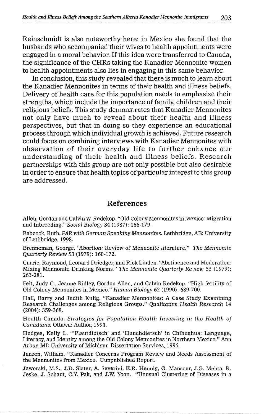Reinschmidt is also noteworthy here: in Mexico she found that the husbands who accompanied their wives to health appointments were engaged in a moral behavior. If this idea were transferred to Canada, the significance of the CHRs taking the Kanadier Mennonite women to health appointments also lies in engaging in this same behavior.

In conclusion, this study revealed that there is much to learn about the Kanadier Mennonites in terms of their health and illness beliefs. Delivery of health care for this population needs to emphasize their strengths, which include the importance of family, children and their religious beliefs. This study demonstrates that Kanadier Mennonites not only have much to reveal about their health and illness perspectives, but thafi in doing so they experience an educational process through which individual growth is achieved. Future research could focus on combining interviews with Kanadier Mennonites with observation of their everyday life to further enhance our understanding of their health and illness beliefs. Research partnerships with this group are not only possible but also desirable in order to ensure that health topics of particular interest to this group are addressed.

## References

Allen, Gordon and Calvin W. Redekop. "Old Colony Mennonites in Mexico: Migration and Inbreeding." Social Biology 34 (1987): 166-179.

Babcock, Ruth. PAR with German Speaking Mennonites. Lethbridge, AB: University of Lethbridge, 1998.

Brenneman, George. "Abortion: Review of Mennonite literature." The Mennonite Quarterly Review 53 (1979): 160-172.

Currie, Raymond, Leonard Driedger, and Rick Linden. "Abstinence and Moderation: Mixing Mennonite Drinking Norms." The Mennonite Quarterly Review 53 (1979): 263-281.

Felt, Judy C., Jeanne Ridley, Gordon Allen, and Calvin Redekop. "High fertility of Old Colony Mennonites in Mexico." Human Biology 62 (1990): 689-700.

Hall, Barry and Judith Kulig. "Kanadier Mennonites: A Case Study Examining Research Challenges among Religious Groups." Qualitative Health Research 14 (2004): 359-368.

Health Canada. Strategies for Population Health Investing in the Health of Canadians. Ottawa: Author, 1994.

Hedges, Kelly L. "'Plautdietsch' and 'Huuchdietsch' in Chihuahua: Language, Literacy, and Identity among the Old Colony Mennonites in Northern Mexico." Ann Arbor, MI: University of Michigan Dissertation Services, 1996.

Janzen, William. "Kanadier Concerns Program Review and Needs Assessment of the Mennonites from Mexico. Uunpublished Report.

Jaworski, M.S., J.D. Slater, A. Severini, K.R. Hennig, G. Mansour, J.G. Mehta, R. Jeske, J. Schaut, C.Y. Palr, and J.W. Yoon. "Unusual Clustering of Diseases in a